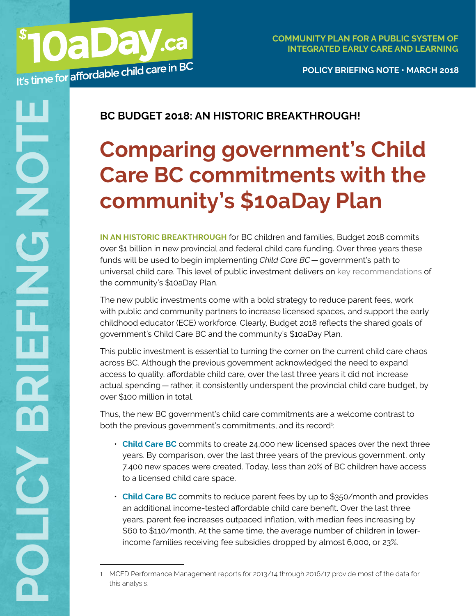**POLICY BRIEFING NOTE • MARCH 2018**

## **BC BUDGET 2018: AN HISTORIC BREAKTHROUGH!**

**OaDay.ca** 

## **Comparing government's Child Care BC commitments with the community's \$10aDay Plan**

**IN AN HISTORIC BREAKTHROUGH** for BC children and families, Budget 2018 commits over \$1 billion in new provincial and federal child care funding. Over three years these funds will be used to begin implementing *Child Care BC*—government's path to universal child care. This level of public investment delivers on [key recommendations](https://d3n8a8pro7vhmx.cloudfront.net/10aday/pages/86/attachments/original/1509139378/10aDay_policy_briefing_note_FIRST_STEPS_Oct_2017_web_3.pdf?1509139378) of the community's \$10aDay Plan.

The new public investments come with a bold strategy to reduce parent fees, work with public and community partners to increase licensed spaces, and support the early childhood educator (ECE) workforce. Clearly, Budget 2018 reflects the shared goals of government's Child Care BC and the community's \$10aDay Plan.

This public investment is essential to turning the corner on the current child care chaos across BC. Although the previous government acknowledged the need to expand access to quality, affordable child care, over the last three years it did not increase actual spending—rather, it consistently underspent the provincial child care budget, by over \$100 million in total.

Thus, the new BC government's child care commitments are a welcome contrast to both the previous government's commitments, and its record<sup>1</sup>: :

- **Child Care BC** commits to create 24,000 new licensed spaces over the next three years. By comparison, over the last three years of the previous government, only 7,400 new spaces were created. Today, less than 20% of BC children have access to a licensed child care space.
- **Child Care BC** commits to reduce parent fees by up to \$350/month and provides an additional income-tested affordable child care benefit. Over the last three years, parent fee increases outpaced inflation, with median fees increasing by \$60 to \$110/month. At the same time, the average number of children in lowerincome families receiving fee subsidies dropped by almost 6,000, or 23%.

<sup>1</sup> MCFD Performance Management reports for 2013/14 through 2016/17 provide most of the data for this analysis.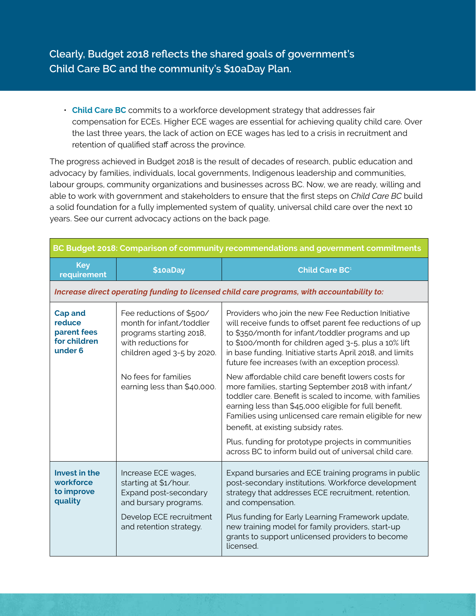## **Clearly, Budget 2018 reflects the shared goals of government's Child Care BC and the community's \$10aDay Plan.**

• **Child Care BC** commits to a workforce development strategy that addresses fair compensation for ECEs. Higher ECE wages are essential for achieving quality child care. Over the last three years, the lack of action on ECE wages has led to a crisis in recruitment and retention of qualified staff across the province.

The progress achieved in Budget 2018 is the result of decades of research, public education and advocacy by families, individuals, local governments, Indigenous leadership and communities, labour groups, community organizations and businesses across BC. Now, we are ready, willing and able to work with government and stakeholders to ensure that the first steps on *Child Care BC* build a solid foundation for a fully implemented system of quality, universal child care over the next 10 years. See our current advocacy actions on the back page.

| BC Budget 2018: Comparison of community recommendations and government commitments         |                                                                                                                                      |                                                                                                                                                                                                                                                                                                                                                 |  |
|--------------------------------------------------------------------------------------------|--------------------------------------------------------------------------------------------------------------------------------------|-------------------------------------------------------------------------------------------------------------------------------------------------------------------------------------------------------------------------------------------------------------------------------------------------------------------------------------------------|--|
| <b>Key</b><br>requirement                                                                  | \$10aDay                                                                                                                             | Child Care BC <sup>1</sup>                                                                                                                                                                                                                                                                                                                      |  |
| Increase direct operating funding to licensed child care programs, with accountability to: |                                                                                                                                      |                                                                                                                                                                                                                                                                                                                                                 |  |
| <b>Cap and</b><br>reduce<br>parent fees<br>for children<br>under 6                         | Fee reductions of \$500/<br>month for infant/toddler<br>programs starting 2018,<br>with reductions for<br>children aged 3-5 by 2020. | Providers who join the new Fee Reduction Initiative<br>will receive funds to offset parent fee reductions of up<br>to \$350/month for infant/toddler programs and up<br>to \$100/month for children aged 3-5, plus a 10% lift<br>in base funding. Initiative starts April 2018, and limits<br>future fee increases (with an exception process). |  |
|                                                                                            | No fees for families<br>earning less than \$40,000.                                                                                  | New affordable child care benefit lowers costs for<br>more families, starting September 2018 with infant/<br>toddler care. Benefit is scaled to income, with families<br>earning less than \$45,000 eligible for full benefit.<br>Families using unlicensed care remain eligible for new<br>benefit, at existing subsidy rates.                 |  |
|                                                                                            |                                                                                                                                      | Plus, funding for prototype projects in communities<br>across BC to inform build out of universal child care.                                                                                                                                                                                                                                   |  |
| Invest in the<br>workforce<br>to improve<br>quality                                        | Increase ECE wages,<br>starting at \$1/hour.<br>Expand post-secondary<br>and bursary programs.                                       | Expand bursaries and ECE training programs in public<br>post-secondary institutions. Workforce development<br>strategy that addresses ECE recruitment, retention,<br>and compensation.                                                                                                                                                          |  |
|                                                                                            | Develop ECE recruitment<br>and retention strategy.                                                                                   | Plus funding for Early Learning Framework update,<br>new training model for family providers, start-up<br>grants to support unlicensed providers to become<br>licensed.                                                                                                                                                                         |  |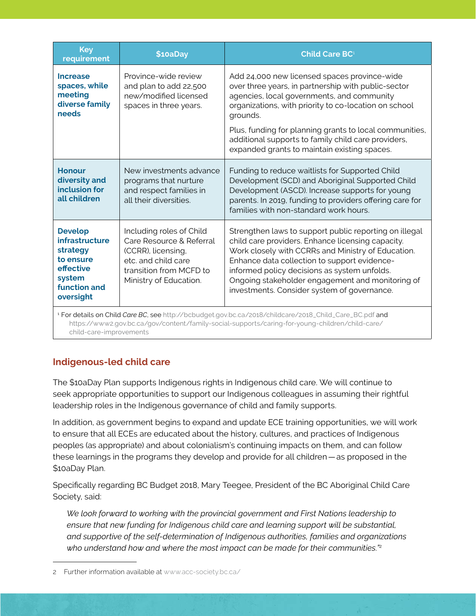| <b>Key</b><br>requirement                                                                                                   | \$10aDay                                                                                                                                               | Child Care BC <sup>1</sup>                                                                                                                                                                                                                                                                                                                                           |
|-----------------------------------------------------------------------------------------------------------------------------|--------------------------------------------------------------------------------------------------------------------------------------------------------|----------------------------------------------------------------------------------------------------------------------------------------------------------------------------------------------------------------------------------------------------------------------------------------------------------------------------------------------------------------------|
| <b>Increase</b><br>spaces, while<br>meeting<br>diverse family<br>needs                                                      | Province-wide review<br>and plan to add 22,500<br>new/modified licensed<br>spaces in three years.                                                      | Add 24,000 new licensed spaces province-wide<br>over three years, in partnership with public-sector<br>agencies, local governments, and community<br>organizations, with priority to co-location on school<br>grounds.                                                                                                                                               |
|                                                                                                                             |                                                                                                                                                        | Plus, funding for planning grants to local communities,<br>additional supports to family child care providers,<br>expanded grants to maintain existing spaces.                                                                                                                                                                                                       |
| <b>Honour</b><br>diversity and<br>inclusion for<br>all children                                                             | New investments advance<br>programs that nurture<br>and respect families in<br>all their diversities.                                                  | Funding to reduce waitlists for Supported Child<br>Development (SCD) and Aboriginal Supported Child<br>Development (ASCD). Increase supports for young<br>parents. In 2019, funding to providers offering care for<br>families with non-standard work hours.                                                                                                         |
| <b>Develop</b><br><b>infrastructure</b><br>strategy<br>to ensure<br>effective<br>system<br><b>function and</b><br>oversight | Including roles of Child<br>Care Resource & Referral<br>(CCRR), licensing,<br>etc. and child care<br>transition from MCFD to<br>Ministry of Education. | Strengthen laws to support public reporting on illegal<br>child care providers. Enhance licensing capacity.<br>Work closely with CCRRs and Ministry of Education.<br>Enhance data collection to support evidence-<br>informed policy decisions as system unfolds.<br>Ongoing stakeholder engagement and monitoring of<br>investments. Consider system of governance. |
| <sup>1</sup> For details on Child Care BC, see http://bchudget.gov.bc.ca/2018/childcare/2018. Child, Care, BC pdf and       |                                                                                                                                                        |                                                                                                                                                                                                                                                                                                                                                                      |

1 For details on Child *Care BC*, see [http://bcbudget.gov.bc.ca/2018/childcare/2018\\_Child\\_Care\\_BC.pdf](http://bcbudget.gov.bc.ca/2018/childcare/2018_Child_Care_BC.pdf) and [https://www2.gov.bc.ca/gov/content/family-social-supports/caring-for-young-children/child-care/](https://www2.gov.bc.ca/gov/content/family-social-supports/caring-for-young-children/child-care/child) [child-care-improvements](https://www2.gov.bc.ca/gov/content/family-social-supports/caring-for-young-children/child-care/child)

## **Indigenous-led child care**

The \$10aDay Plan supports Indigenous rights in Indigenous child care. We will continue to seek appropriate opportunities to support our Indigenous colleagues in assuming their rightful leadership roles in the Indigenous governance of child and family supports.

In addition, as government begins to expand and update ECE training opportunities, we will work to ensure that all ECEs are educated about the history, cultures, and practices of Indigenous peoples (as appropriate) and about colonialism's continuing impacts on them, and can follow these learnings in the programs they develop and provide for all children—as proposed in the \$10aDay Plan.

Specifically regarding BC Budget 2018, Mary Teegee, President of the BC Aboriginal Child Care Society, said:

*We look forward to working with the provincial government and First Nations leadership to ensure that new funding for Indigenous child care and learning support will be substantial, and supportive of the self-determination of Indigenous authorities, families and organizations who understand how and where the most impact can be made for their communities."*<sup>2</sup>

<sup>2</sup> Further information available at [www.acc-society.bc.ca/](http://www.acc-society.bc.ca/ )